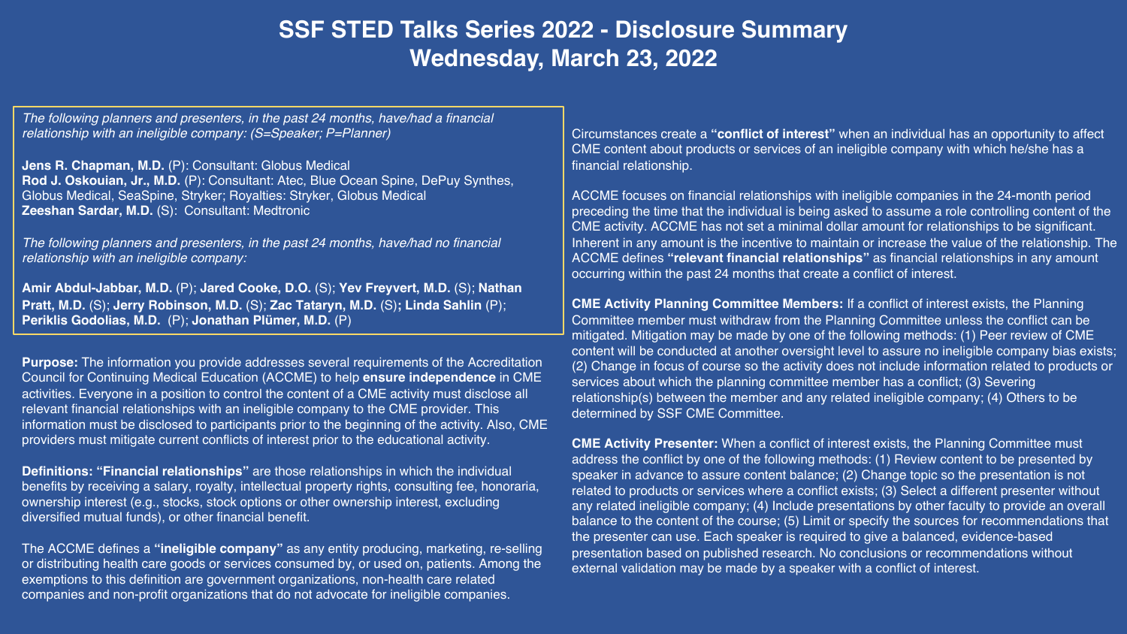# **SSF STED Talks Series 2022 - Disclosure Summary Wednesday, March 23, 2022**

*The following planners and presenters, in the past 24 months, have/had a financial relationship with an ineligible company: (S=Speaker; P=Planner)*

**Jens R. Chapman, M.D.** (P): Consultant: Globus Medical **Rod J. Oskouian, Jr., M.D.** (P): Consultant: Atec, Blue Ocean Spine, DePuy Synthes, Globus Medical, SeaSpine, Stryker; Royalties: Stryker, Globus Medical **Zeeshan Sardar, M.D.** (S): Consultant: Medtronic

*The following planners and presenters, in the past 24 months, have/had no financial relationship with an ineligible company:*

**Amir Abdul-Jabbar, M.D.** (P); **Jared Cooke, D.O.** (S); **Yev Freyvert, M.D.** (S); **Nathan Pratt, M.D.** (S); **Jerry Robinson, M.D.** (S); **Zac Tataryn, M.D.** (S)**; Linda Sahlin** (P); **Periklis Godolias, M.D.** (P); **Jonathan Plümer, M.D.** (P)

**Purpose:** The information you provide addresses several requirements of the Accreditation Council for Continuing Medical Education (ACCME) to help **ensure independence** in CME activities. Everyone in a position to control the content of a CME activity must disclose all relevant financial relationships with an ineligible company to the CME provider. This information must be disclosed to participants prior to the beginning of the activity. Also, CME providers must mitigate current conflicts of interest prior to the educational activity.

**Definitions: "Financial relationships"** are those relationships in which the individual benefits by receiving a salary, royalty, intellectual property rights, consulting fee, honoraria, ownership interest (e.g., stocks, stock options or other ownership interest, excluding diversified mutual funds), or other financial benefit.

The ACCME defines a **"ineligible company"** as any entity producing, marketing, re-selling or distributing health care goods or services consumed by, or used on, patients. Among the exemptions to this definition are government organizations, non-health care related companies and non-profit organizations that do not advocate for ineligible companies.

Circumstances create a **"conflict of interest"** when an individual has an opportunity to affect CME content about products or services of an ineligible company with which he/she has a financial relationship.

ACCME focuses on financial relationships with ineligible companies in the 24-month period preceding the time that the individual is being asked to assume a role controlling content of the CME activity. ACCME has not set a minimal dollar amount for relationships to be significant. Inherent in any amount is the incentive to maintain or increase the value of the relationship. The ACCME defines **"relevant financial relationships"** as financial relationships in any amount occurring within the past 24 months that create a conflict of interest.

**CME Activity Planning Committee Members:** If a conflict of interest exists, the Planning Committee member must withdraw from the Planning Committee unless the conflict can be mitigated. Mitigation may be made by one of the following methods: (1) Peer review of CME content will be conducted at another oversight level to assure no ineligible company bias exists; (2) Change in focus of course so the activity does not include information related to products or services about which the planning committee member has a conflict; (3) Severing relationship(s) between the member and any related ineligible company; (4) Others to be determined by SSF CME Committee.

**CME Activity Presenter:** When a conflict of interest exists, the Planning Committee must address the conflict by one of the following methods: (1) Review content to be presented by speaker in advance to assure content balance; (2) Change topic so the presentation is not related to products or services where a conflict exists; (3) Select a different presenter without any related ineligible company; (4) Include presentations by other faculty to provide an overall balance to the content of the course; (5) Limit or specify the sources for recommendations that the presenter can use. Each speaker is required to give a balanced, evidence-based presentation based on published research. No conclusions or recommendations without external validation may be made by a speaker with a conflict of interest.